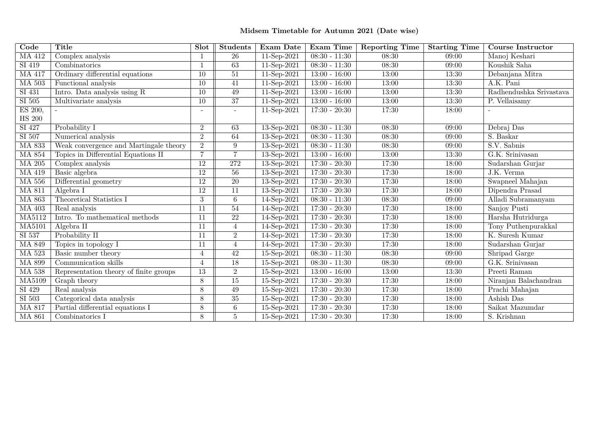## **Midsem Timetable for Autumn <sup>2021</sup> (Date wise)**

| $\overline{\text{Code}}$ | <b>Title</b>                           | Slot            | <b>Students</b> | Exam Date              | Exam Time       | <b>Reporting Time</b> | <b>Starting Time</b> | <b>Course Instructor</b> |
|--------------------------|----------------------------------------|-----------------|-----------------|------------------------|-----------------|-----------------------|----------------------|--------------------------|
| <b>MA 412</b>            | Complex analysis                       |                 | $\overline{26}$ | 11-Sep-2021            | $08:30 - 11:30$ | 08:30                 | 09:00                | Manoj Keshari            |
| SI 419                   | Combinatorics                          |                 | $\overline{63}$ | $11-Sep-2021$          | $08:30 - 11:30$ | 08:30                 | 09:00                | Koushik Saha             |
| <b>MA 417</b>            | Ordinary differential equations        | 10              | $\overline{51}$ | 11-Sep-2021            | $13:00 - 16:00$ | 13:00                 | 13:30                | Debanjana Mitra          |
| <b>MA 503</b>            | Functional analysis                    | $\overline{10}$ | $\overline{41}$ | 11-Sep-2021            | $13:00 - 16:00$ | 13:00                 | 13:30                | A.K. Pani                |
| SI 431                   | Intro. Data analysis using R           | 10              | 49              | 11-Sep-2021            | $13:00 - 16:00$ | 13:00                 | 13:30                | Radhendushka Srivastava  |
| SI 505                   | Multivariate analysis                  | 10              | $\overline{37}$ | 11-Sep-2021            | $13:00 - 16:00$ | 13:00                 | 13:30                | P. Vellaisamy            |
| ES 200,                  |                                        |                 |                 | 11-Sep-2021            | $17:30 - 20:30$ | 17:30                 | 18:00                |                          |
| <b>HS 200</b>            |                                        |                 |                 |                        |                 |                       |                      |                          |
| SI 427                   | Probability I                          | $\overline{2}$  | 63              | 13-Sep-2021            | $08:30 - 11:30$ | 08:30                 | 09:00                | Debraj Das               |
| SI 507                   | Numerical analysis                     | $\overline{2}$  | 64              | 13-Sep-2021            | $08:30 - 11:30$ | 08:30                 | 09:00                | S. Baskar                |
| <b>MA 833</b>            | Weak convergence and Martingale theory | $\overline{2}$  | 9               | 13-Sep-2021            | $08:30 - 11:30$ | 08:30                 | 09:00                | S.V. Sabnis              |
| <b>MA 854</b>            | Topics in Differential Equations II    | $\overline{7}$  | $\overline{7}$  | 13-Sep-2021            | $13:00 - 16:00$ | 13:00                 | 13:30                | G.K. Srinivasan          |
| <b>MA 205</b>            | Complex analysis                       | 12              | 272             | 13-Sep-2021            | $17:30 - 20:30$ | 17:30                 | 18:00                | Sudarshan Gurjar         |
| MA 419                   | Basic algebra                          | $\overline{12}$ | $\overline{56}$ | 13-Sep-2021            | $17:30 - 20:30$ | 17:30                 | 18:00                | J.K. Verma               |
| <b>MA 556</b>            | Differential geometry                  | 12              | $\overline{20}$ | 13-Sep-2021            | $17:30 - 20:30$ | 17:30                 | 18:00                | Swapneel Mahajan         |
| <b>MA 811</b>            | Algebra I                              | $\overline{12}$ | $\overline{11}$ | 13-Sep-2021            | $17:30 - 20:30$ | 17:30                 | 18:00                | Dipendra Prasad          |
| <b>MA 863</b>            | Theoretical Statistics I               | 3               | $\,6\,$         | 14-Sep-2021            | $08:30 - 11:30$ | 08:30                 | 09:00                | Alladi Subramanyam       |
| <b>MA 403</b>            | Real analysis                          | 11              | $\overline{54}$ | 14-Sep-2021            | $17:30 - 20:30$ | 17:30                 | 18:00                | Sanjoy Pusti             |
| MA5112                   | Intro. To mathematical methods         | 11              | $\overline{22}$ | 14-Sep-2021            | $17:30 - 20:30$ | 17:30                 | 18:00                | Harsha Hutridurga        |
| <b>MA5101</b>            | Algebra II                             | 11              | $\overline{4}$  | 14-Sep-2021            | $17:30 - 20:30$ | 17:30                 | 18:00                | Tony Puthenpurakkal      |
| SI 537                   | Probability II                         | 11              | $\overline{2}$  | 14-Sep-2021            | $17:30 - 20:30$ | 17:30                 | 18:00                | K. Suresh Kumar          |
| <b>MA 849</b>            | Topics in topology I                   | 11              | $\overline{4}$  | 14-Sep-2021            | $17:30 - 20:30$ | 17:30                 | 18:00                | Sudarshan Gurjar         |
| <b>MA 523</b>            | Basic number theory                    | 4               | 42              | 15-Sep-2021            | $08:30 - 11:30$ | 08:30                 | 09:00                | Shripad Garge            |
| <b>MA 899</b>            | Communication skills                   | 4               | $\overline{18}$ | 15-Sep-2021            | $08:30 - 11:30$ | 08:30                 | 09:00                | G.K. Srinivasan          |
| <b>MA 538</b>            | Representation theory of finite groups | 13              | $\overline{2}$  | 15-Sep-2021            | $13:00 - 16:00$ | 13:00                 | 13:30                | Preeti Raman             |
| <b>MA5109</b>            | Graph theory                           | 8               | $\overline{15}$ | 15-Sep-2021            | $17:30 - 20:30$ | 17:30                 | 18:00                | Niranjan Balachandran    |
| SI 429                   | Real analysis                          | 8               | 49              | 15-Sep-2021            | $17:30 - 20:30$ | 17:30                 | 18:00                | Prachi Mahajan           |
| SI 503                   | Categorical data analysis              | 8               | 35              | 15-Sep-2021            | $17:30 - 20:30$ | 17:30                 | 18:00                | Ashish Das               |
| <b>MA 817</b>            | Partial differential equations I       | 8               | 6               | 15-Sep-2021            | $17:30 - 20:30$ | 17:30                 | 18:00                | Saikat Mazumdar          |
| <b>MA 861</b>            | Combinatorics I                        | 8               | $\overline{5}$  | $15 - \text{Sep-}2021$ | $17:30 - 20:30$ | 17:30                 | 18:00                | S. Krishnan              |